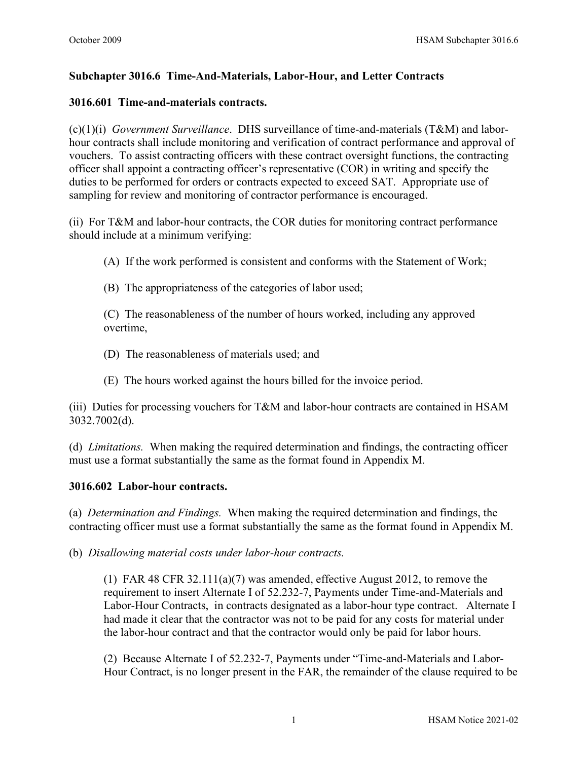# **Subchapter 3016.6 Time-And-Materials, Labor-Hour, and Letter Contracts**

## **3016.601 Time-and-materials contracts.**

(c)(1)(i) *Government Surveillance*.DHS surveillance of time-and-materials (T&M) and laborhour contracts shall include monitoring and verification of contract performance and approval of vouchers. To assist contracting officers with these contract oversight functions, the contracting officer shall appoint a contracting officer's representative (COR) in writing and specify the duties to be performed for orders or contracts expected to exceed SAT. Appropriate use of sampling for review and monitoring of contractor performance is encouraged.

(ii) For T&M and labor-hour contracts, the COR duties for monitoring contract performance should include at a minimum verifying:

- (A) If the work performed is consistent and conforms with the Statement of Work;
- (B) The appropriateness of the categories of labor used;

(C) The reasonableness of the number of hours worked, including any approved overtime,

- (D) The reasonableness of materials used; and
- (E) The hours worked against the hours billed for the invoice period.

(iii) Duties for processing vouchers for T&M and labor-hour contracts are contained in HSAM 3032.7002(d).

(d) *Limitations.* When making the required determination and findings, the contracting officer must use a format substantially the same as the format found in Appendix M.

### **3016.602 Labor-hour contracts.**

(a) *Determination and Findings.* When making the required determination and findings, the contracting officer must use a format substantially the same as the format found in Appendix M.

(b) *Disallowing material costs under labor-hour contracts.*

(1) FAR 48 CFR  $32.111(a)(7)$  was amended, effective August 2012, to remove the requirement to insert Alternate I of 52.232-7, Payments under Time-and-Materials and Labor-Hour Contracts, in contracts designated as a labor-hour type contract. Alternate I had made it clear that the contractor was not to be paid for any costs for material under the labor-hour contract and that the contractor would only be paid for labor hours.

(2) Because Alternate I of 52.232-7, Payments under "Time-and-Materials and Labor-Hour Contract, is no longer present in the FAR, the remainder of the clause required to be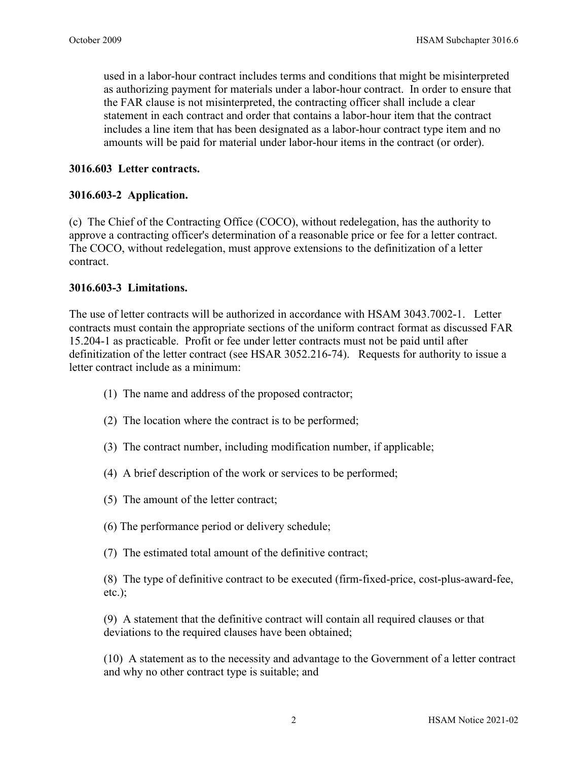used in a labor-hour contract includes terms and conditions that might be misinterpreted as authorizing payment for materials under a labor-hour contract. In order to ensure that the FAR clause is not misinterpreted, the contracting officer shall include a clear statement in each contract and order that contains a labor-hour item that the contract includes a line item that has been designated as a labor-hour contract type item and no amounts will be paid for material under labor-hour items in the contract (or order).

# **3016.603 Letter contracts.**

## **3016.603-2 Application.**

(c) The Chief of the Contracting Office (COCO), without redelegation, has the authority to approve a contracting officer's determination of a reasonable price or fee for a letter contract. The COCO, without redelegation, must approve extensions to the definitization of a letter contract.

### **3016.603-3 Limitations.**

The use of letter contracts will be authorized in accordance with HSAM 3043.7002-1. Letter contracts must contain the appropriate sections of the uniform contract format as discussed [FAR](https://www.acquisition.gov/far/current/html/Subpart%2015_2.html#wp1125227)  [15.204-1](https://www.acquisition.gov/far/current/html/Subpart%2015_2.html#wp1125227) as practicable. Profit or fee under letter contracts must not be paid until after definitization of the letter contract (see HSAR 3052.216-74). Requests for authority to issue a letter contract include as a minimum:

- (1) The name and address of the proposed contractor;
- (2) The location where the contract is to be performed;
- (3) The contract number, including modification number, if applicable;
- (4) A brief description of the work or services to be performed;
- (5) The amount of the letter contract;
- (6) The performance period or delivery schedule;
- (7) The estimated total amount of the definitive contract;

(8) The type of definitive contract to be executed (firm-fixed-price, cost-plus-award-fee, etc.);

(9) A statement that the definitive contract will contain all required clauses or that deviations to the required clauses have been obtained;

(10) A statement as to the necessity and advantage to the Government of a letter contract and why no other contract type is suitable; and